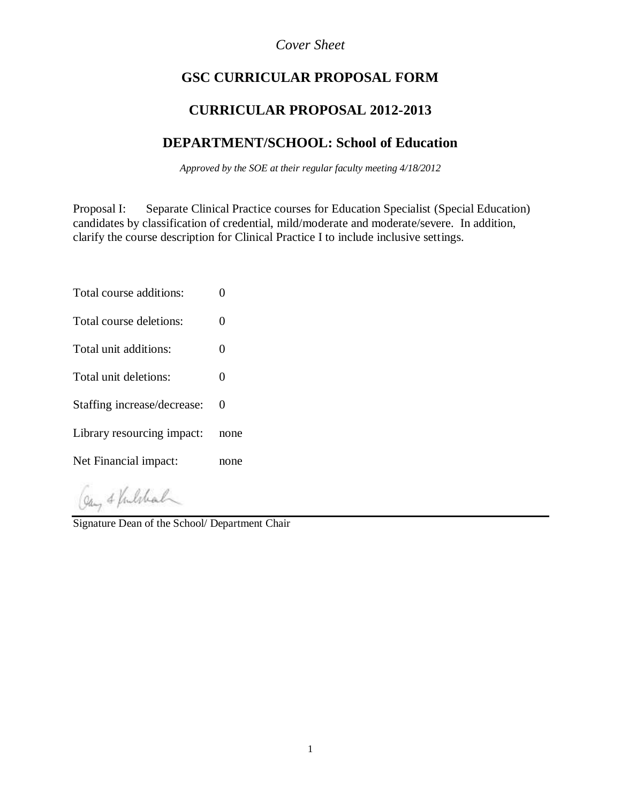# *Cover Sheet*

# **GSC CURRICULAR PROPOSAL FORM**

# **CURRICULAR PROPOSAL 2012-2013**

# **DEPARTMENT/SCHOOL: School of Education**

*Approved by the SOE at their regular faculty meeting 4/18/2012*

Proposal I: Separate Clinical Practice courses for Education Specialist (Special Education) candidates by classification of credential, mild/moderate and moderate/severe. In addition, clarify the course description for Clinical Practice I to include inclusive settings.

- Total course additions: 0
- Total course deletions: 0
- Total unit additions: 0
- Total unit deletions: 0
- Staffing increase/decrease: 0
- Library resourcing impact: none
- Net Financial impact: none

Gay & Vulshal

Signature Dean of the School/ Department Chair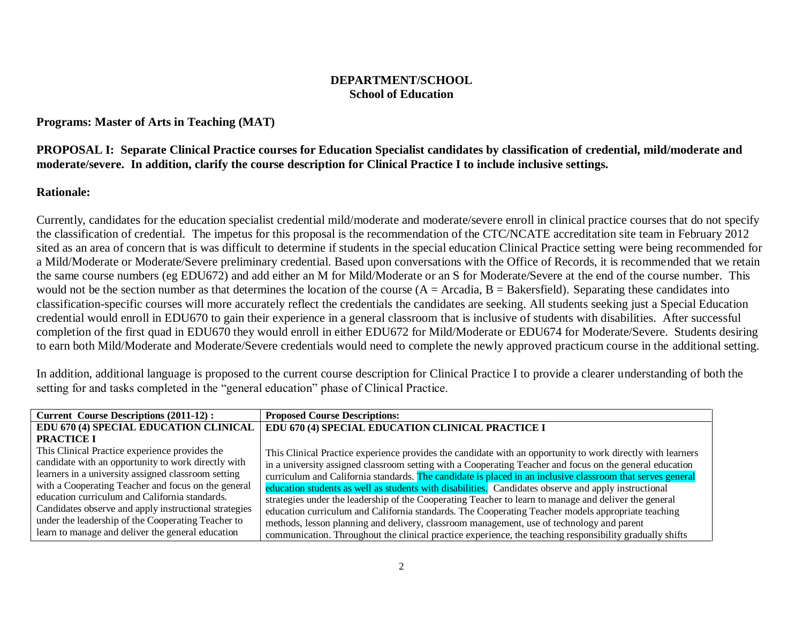### **DEPARTMENT/SCHOOL School of Education**

#### **Programs: Master of Arts in Teaching (MAT)**

### **PROPOSAL I: Separate Clinical Practice courses for Education Specialist candidates by classification of credential, mild/moderate and moderate/severe. In addition, clarify the course description for Clinical Practice I to include inclusive settings.**

## **Rationale:**

Currently, candidates for the education specialist credential mild/moderate and moderate/severe enroll in clinical practice courses that do not specify the classification of credential. The impetus for this proposal is the recommendation of the CTC/NCATE accreditation site team in February 2012 sited as an area of concern that is was difficult to determine if students in the special education Clinical Practice setting were being recommended for a Mild/Moderate or Moderate/Severe preliminary credential. Based upon conversations with the Office of Records, it is recommended that we retain the same course numbers (eg EDU672) and add either an M for Mild/Moderate or an S for Moderate/Severe at the end of the course number. This would not be the section number as that determines the location of the course  $(A = Arcadia, B = Bakersfield)$ . Separating these candidates into classification-specific courses will more accurately reflect the credentials the candidates are seeking. All students seeking just a Special Education credential would enroll in EDU670 to gain their experience in a general classroom that is inclusive of students with disabilities. After successful completion of the first quad in EDU670 they would enroll in either EDU672 for Mild/Moderate or EDU674 for Moderate/Severe. Students desiring to earn both Mild/Moderate and Moderate/Severe credentials would need to complete the newly approved practicum course in the additional setting.

In addition, additional language is proposed to the current course description for Clinical Practice I to provide a clearer understanding of both the setting for and tasks completed in the "general education" phase of Clinical Practice.

| <b>Current Course Descriptions (2011-12):</b>         | <b>Proposed Course Descriptions:</b>                                                                        |  |
|-------------------------------------------------------|-------------------------------------------------------------------------------------------------------------|--|
| EDU 670 (4) SPECIAL EDUCATION CLINICAL                | EDU 670 (4) SPECIAL EDUCATION CLINICAL PRACTICE I                                                           |  |
| <b>PRACTICE I</b>                                     |                                                                                                             |  |
| This Clinical Practice experience provides the        | This Clinical Practice experience provides the candidate with an opportunity to work directly with learners |  |
| candidate with an opportunity to work directly with   | in a university assigned classroom setting with a Cooperating Teacher and focus on the general education    |  |
| learners in a university assigned classroom setting   | curriculum and California standards. The candidate is placed in an inclusive classroom that serves general  |  |
| with a Cooperating Teacher and focus on the general   | education students as well as students with disabilities. Candidates observe and apply instructional        |  |
| education curriculum and California standards.        | strategies under the leadership of the Cooperating Teacher to learn to manage and deliver the general       |  |
| Candidates observe and apply instructional strategies | education curriculum and California standards. The Cooperating Teacher models appropriate teaching          |  |
| under the leadership of the Cooperating Teacher to    | methods, lesson planning and delivery, classroom management, use of technology and parent                   |  |
| learn to manage and deliver the general education     | communication. Throughout the clinical practice experience, the teaching responsibility gradually shifts    |  |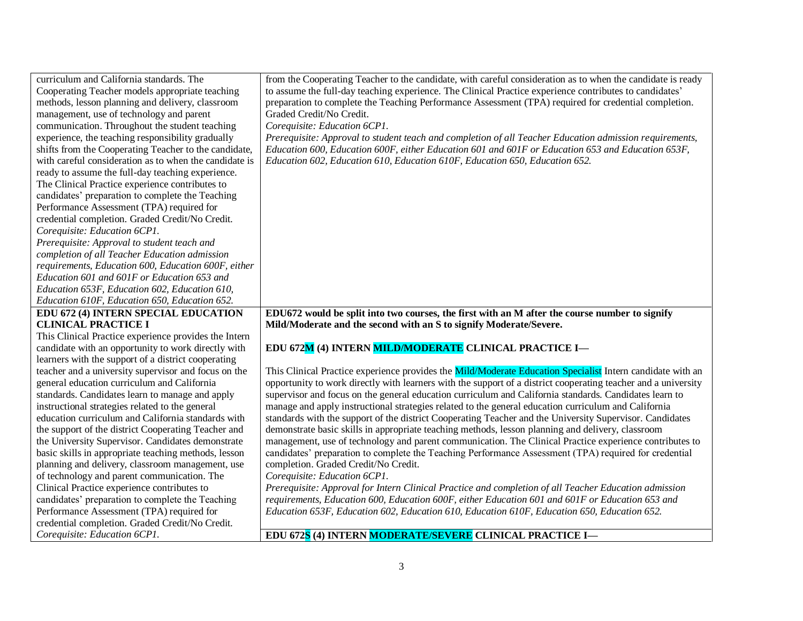| curriculum and California standards. The                                        | from the Cooperating Teacher to the candidate, with careful consideration as to when the candidate is ready    |
|---------------------------------------------------------------------------------|----------------------------------------------------------------------------------------------------------------|
| Cooperating Teacher models appropriate teaching                                 | to assume the full-day teaching experience. The Clinical Practice experience contributes to candidates'        |
| methods, lesson planning and delivery, classroom                                | preparation to complete the Teaching Performance Assessment (TPA) required for credential completion.          |
| management, use of technology and parent                                        | Graded Credit/No Credit.                                                                                       |
| communication. Throughout the student teaching                                  | Corequisite: Education 6CP1.                                                                                   |
| experience, the teaching responsibility gradually                               | Prerequisite: Approval to student teach and completion of all Teacher Education admission requirements,        |
| shifts from the Cooperating Teacher to the candidate,                           | Education 600, Education 600F, either Education 601 and 601F or Education 653 and Education 653F,              |
| with careful consideration as to when the candidate is                          | Education 602, Education 610, Education 610F, Education 650, Education 652.                                    |
| ready to assume the full-day teaching experience.                               |                                                                                                                |
| The Clinical Practice experience contributes to                                 |                                                                                                                |
| candidates' preparation to complete the Teaching                                |                                                                                                                |
| Performance Assessment (TPA) required for                                       |                                                                                                                |
| credential completion. Graded Credit/No Credit.                                 |                                                                                                                |
| Corequisite: Education 6CP1.                                                    |                                                                                                                |
| Prerequisite: Approval to student teach and                                     |                                                                                                                |
| completion of all Teacher Education admission                                   |                                                                                                                |
| requirements, Education 600, Education 600F, either                             |                                                                                                                |
| Education 601 and 601F or Education 653 and                                     |                                                                                                                |
| Education 653F, Education 602, Education 610,                                   |                                                                                                                |
| Education 610F, Education 650, Education 652.                                   |                                                                                                                |
|                                                                                 |                                                                                                                |
| EDU 672 (4) INTERN SPECIAL EDUCATION                                            | EDU672 would be split into two courses, the first with an M after the course number to signify                 |
| <b>CLINICAL PRACTICE I</b>                                                      | Mild/Moderate and the second with an S to signify Moderate/Severe.                                             |
| This Clinical Practice experience provides the Intern                           |                                                                                                                |
| candidate with an opportunity to work directly with                             | EDU 672M (4) INTERN MILD/MODERATE CLINICAL PRACTICE I-                                                         |
| learners with the support of a district cooperating                             |                                                                                                                |
| teacher and a university supervisor and focus on the                            | This Clinical Practice experience provides the Mild/Moderate Education Specialist Intern candidate with an     |
| general education curriculum and California                                     | opportunity to work directly with learners with the support of a district cooperating teacher and a university |
| standards. Candidates learn to manage and apply                                 | supervisor and focus on the general education curriculum and California standards. Candidates learn to         |
| instructional strategies related to the general                                 | manage and apply instructional strategies related to the general education curriculum and California           |
| education curriculum and California standards with                              | standards with the support of the district Cooperating Teacher and the University Supervisor. Candidates       |
| the support of the district Cooperating Teacher and                             | demonstrate basic skills in appropriate teaching methods, lesson planning and delivery, classroom              |
| the University Supervisor. Candidates demonstrate                               | management, use of technology and parent communication. The Clinical Practice experience contributes to        |
| basic skills in appropriate teaching methods, lesson                            | candidates' preparation to complete the Teaching Performance Assessment (TPA) required for credential          |
| planning and delivery, classroom management, use                                | completion. Graded Credit/No Credit.                                                                           |
| of technology and parent communication. The                                     | Corequisite: Education 6CP1.                                                                                   |
| Clinical Practice experience contributes to                                     | Prerequisite: Approval for Intern Clinical Practice and completion of all Teacher Education admission          |
| candidates' preparation to complete the Teaching                                | requirements, Education 600, Education 600F, either Education 601 and 601F or Education 653 and                |
| Performance Assessment (TPA) required for                                       | Education 653F, Education 602, Education 610, Education 610F, Education 650, Education 652.                    |
| credential completion. Graded Credit/No Credit.<br>Corequisite: Education 6CP1. | EDU 672S (4) INTERN MODERATE/SEVERE CLINICAL PRACTICE I-                                                       |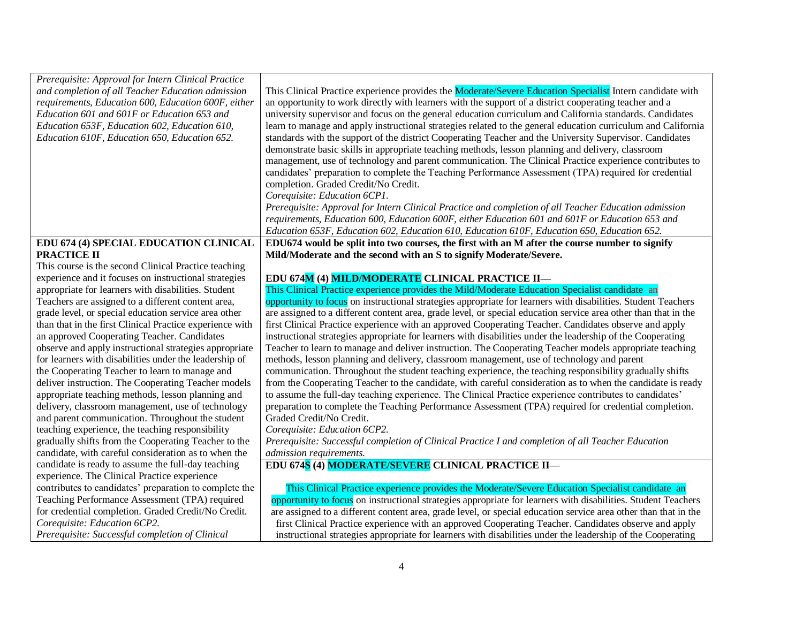| Prerequisite: Approval for Intern Clinical Practice<br>and completion of all Teacher Education admission<br>requirements, Education 600, Education 600F, either<br>Education 601 and 601F or Education 653 and<br>Education 653F, Education 602, Education 610,<br>Education 610F, Education 650, Education 652. | This Clinical Practice experience provides the Moderate/Severe Education Specialist Intern candidate with<br>an opportunity to work directly with learners with the support of a district cooperating teacher and a<br>university supervisor and focus on the general education curriculum and California standards. Candidates<br>learn to manage and apply instructional strategies related to the general education curriculum and California<br>standards with the support of the district Cooperating Teacher and the University Supervisor. Candidates<br>demonstrate basic skills in appropriate teaching methods, lesson planning and delivery, classroom<br>management, use of technology and parent communication. The Clinical Practice experience contributes to<br>candidates' preparation to complete the Teaching Performance Assessment (TPA) required for credential<br>completion. Graded Credit/No Credit.<br>Corequisite: Education 6CP1.<br>Prerequisite: Approval for Intern Clinical Practice and completion of all Teacher Education admission<br>requirements, Education 600, Education 600F, either Education 601 and 601F or Education 653 and<br>Education 653F, Education 602, Education 610, Education 610F, Education 650, Education 652. |
|------------------------------------------------------------------------------------------------------------------------------------------------------------------------------------------------------------------------------------------------------------------------------------------------------------------|--------------------------------------------------------------------------------------------------------------------------------------------------------------------------------------------------------------------------------------------------------------------------------------------------------------------------------------------------------------------------------------------------------------------------------------------------------------------------------------------------------------------------------------------------------------------------------------------------------------------------------------------------------------------------------------------------------------------------------------------------------------------------------------------------------------------------------------------------------------------------------------------------------------------------------------------------------------------------------------------------------------------------------------------------------------------------------------------------------------------------------------------------------------------------------------------------------------------------------------------------------------------------|
| EDU 674 (4) SPECIAL EDUCATION CLINICAL                                                                                                                                                                                                                                                                           | EDU674 would be split into two courses, the first with an M after the course number to signify                                                                                                                                                                                                                                                                                                                                                                                                                                                                                                                                                                                                                                                                                                                                                                                                                                                                                                                                                                                                                                                                                                                                                                           |
| PRACTICE II                                                                                                                                                                                                                                                                                                      | Mild/Moderate and the second with an S to signify Moderate/Severe.                                                                                                                                                                                                                                                                                                                                                                                                                                                                                                                                                                                                                                                                                                                                                                                                                                                                                                                                                                                                                                                                                                                                                                                                       |
| This course is the second Clinical Practice teaching                                                                                                                                                                                                                                                             |                                                                                                                                                                                                                                                                                                                                                                                                                                                                                                                                                                                                                                                                                                                                                                                                                                                                                                                                                                                                                                                                                                                                                                                                                                                                          |
| experience and it focuses on instructional strategies                                                                                                                                                                                                                                                            | EDU 674M (4) MILD/MODERATE CLINICAL PRACTICE II-                                                                                                                                                                                                                                                                                                                                                                                                                                                                                                                                                                                                                                                                                                                                                                                                                                                                                                                                                                                                                                                                                                                                                                                                                         |
| appropriate for learners with disabilities. Student                                                                                                                                                                                                                                                              | This Clinical Practice experience provides the Mild/Moderate Education Specialist candidate an                                                                                                                                                                                                                                                                                                                                                                                                                                                                                                                                                                                                                                                                                                                                                                                                                                                                                                                                                                                                                                                                                                                                                                           |
| Teachers are assigned to a different content area,                                                                                                                                                                                                                                                               | opportunity to focus on instructional strategies appropriate for learners with disabilities. Student Teachers                                                                                                                                                                                                                                                                                                                                                                                                                                                                                                                                                                                                                                                                                                                                                                                                                                                                                                                                                                                                                                                                                                                                                            |
| grade level, or special education service area other                                                                                                                                                                                                                                                             | are assigned to a different content area, grade level, or special education service area other than that in the                                                                                                                                                                                                                                                                                                                                                                                                                                                                                                                                                                                                                                                                                                                                                                                                                                                                                                                                                                                                                                                                                                                                                          |
| than that in the first Clinical Practice experience with                                                                                                                                                                                                                                                         | first Clinical Practice experience with an approved Cooperating Teacher. Candidates observe and apply                                                                                                                                                                                                                                                                                                                                                                                                                                                                                                                                                                                                                                                                                                                                                                                                                                                                                                                                                                                                                                                                                                                                                                    |
| an approved Cooperating Teacher. Candidates                                                                                                                                                                                                                                                                      | instructional strategies appropriate for learners with disabilities under the leadership of the Cooperating                                                                                                                                                                                                                                                                                                                                                                                                                                                                                                                                                                                                                                                                                                                                                                                                                                                                                                                                                                                                                                                                                                                                                              |
| observe and apply instructional strategies appropriate                                                                                                                                                                                                                                                           | Teacher to learn to manage and deliver instruction. The Cooperating Teacher models appropriate teaching                                                                                                                                                                                                                                                                                                                                                                                                                                                                                                                                                                                                                                                                                                                                                                                                                                                                                                                                                                                                                                                                                                                                                                  |
| for learners with disabilities under the leadership of                                                                                                                                                                                                                                                           | methods, lesson planning and delivery, classroom management, use of technology and parent                                                                                                                                                                                                                                                                                                                                                                                                                                                                                                                                                                                                                                                                                                                                                                                                                                                                                                                                                                                                                                                                                                                                                                                |
| the Cooperating Teacher to learn to manage and                                                                                                                                                                                                                                                                   | communication. Throughout the student teaching experience, the teaching responsibility gradually shifts                                                                                                                                                                                                                                                                                                                                                                                                                                                                                                                                                                                                                                                                                                                                                                                                                                                                                                                                                                                                                                                                                                                                                                  |
| deliver instruction. The Cooperating Teacher models                                                                                                                                                                                                                                                              | from the Cooperating Teacher to the candidate, with careful consideration as to when the candidate is ready                                                                                                                                                                                                                                                                                                                                                                                                                                                                                                                                                                                                                                                                                                                                                                                                                                                                                                                                                                                                                                                                                                                                                              |
| appropriate teaching methods, lesson planning and                                                                                                                                                                                                                                                                | to assume the full-day teaching experience. The Clinical Practice experience contributes to candidates'                                                                                                                                                                                                                                                                                                                                                                                                                                                                                                                                                                                                                                                                                                                                                                                                                                                                                                                                                                                                                                                                                                                                                                  |
| delivery, classroom management, use of technology                                                                                                                                                                                                                                                                | preparation to complete the Teaching Performance Assessment (TPA) required for credential completion.                                                                                                                                                                                                                                                                                                                                                                                                                                                                                                                                                                                                                                                                                                                                                                                                                                                                                                                                                                                                                                                                                                                                                                    |
| and parent communication. Throughout the student                                                                                                                                                                                                                                                                 | Graded Credit/No Credit.                                                                                                                                                                                                                                                                                                                                                                                                                                                                                                                                                                                                                                                                                                                                                                                                                                                                                                                                                                                                                                                                                                                                                                                                                                                 |
| teaching experience, the teaching responsibility                                                                                                                                                                                                                                                                 | Corequisite: Education 6CP2.                                                                                                                                                                                                                                                                                                                                                                                                                                                                                                                                                                                                                                                                                                                                                                                                                                                                                                                                                                                                                                                                                                                                                                                                                                             |
| gradually shifts from the Cooperating Teacher to the                                                                                                                                                                                                                                                             | Prerequisite: Successful completion of Clinical Practice I and completion of all Teacher Education                                                                                                                                                                                                                                                                                                                                                                                                                                                                                                                                                                                                                                                                                                                                                                                                                                                                                                                                                                                                                                                                                                                                                                       |
| candidate, with careful consideration as to when the                                                                                                                                                                                                                                                             | admission requirements.                                                                                                                                                                                                                                                                                                                                                                                                                                                                                                                                                                                                                                                                                                                                                                                                                                                                                                                                                                                                                                                                                                                                                                                                                                                  |
| candidate is ready to assume the full-day teaching                                                                                                                                                                                                                                                               | EDU 674S (4) MODERATE/SEVERE CLINICAL PRACTICE II-                                                                                                                                                                                                                                                                                                                                                                                                                                                                                                                                                                                                                                                                                                                                                                                                                                                                                                                                                                                                                                                                                                                                                                                                                       |
| experience. The Clinical Practice experience                                                                                                                                                                                                                                                                     |                                                                                                                                                                                                                                                                                                                                                                                                                                                                                                                                                                                                                                                                                                                                                                                                                                                                                                                                                                                                                                                                                                                                                                                                                                                                          |
| contributes to candidates' preparation to complete the                                                                                                                                                                                                                                                           | This Clinical Practice experience provides the Moderate/Severe Education Specialist candidate an                                                                                                                                                                                                                                                                                                                                                                                                                                                                                                                                                                                                                                                                                                                                                                                                                                                                                                                                                                                                                                                                                                                                                                         |
| Teaching Performance Assessment (TPA) required                                                                                                                                                                                                                                                                   | opportunity to focus on instructional strategies appropriate for learners with disabilities. Student Teachers                                                                                                                                                                                                                                                                                                                                                                                                                                                                                                                                                                                                                                                                                                                                                                                                                                                                                                                                                                                                                                                                                                                                                            |
| for credential completion. Graded Credit/No Credit.                                                                                                                                                                                                                                                              | are assigned to a different content area, grade level, or special education service area other than that in the                                                                                                                                                                                                                                                                                                                                                                                                                                                                                                                                                                                                                                                                                                                                                                                                                                                                                                                                                                                                                                                                                                                                                          |
| Corequisite: Education 6CP2.                                                                                                                                                                                                                                                                                     | first Clinical Practice experience with an approved Cooperating Teacher. Candidates observe and apply                                                                                                                                                                                                                                                                                                                                                                                                                                                                                                                                                                                                                                                                                                                                                                                                                                                                                                                                                                                                                                                                                                                                                                    |
| Prerequisite: Successful completion of Clinical                                                                                                                                                                                                                                                                  | instructional strategies appropriate for learners with disabilities under the leadership of the Cooperating                                                                                                                                                                                                                                                                                                                                                                                                                                                                                                                                                                                                                                                                                                                                                                                                                                                                                                                                                                                                                                                                                                                                                              |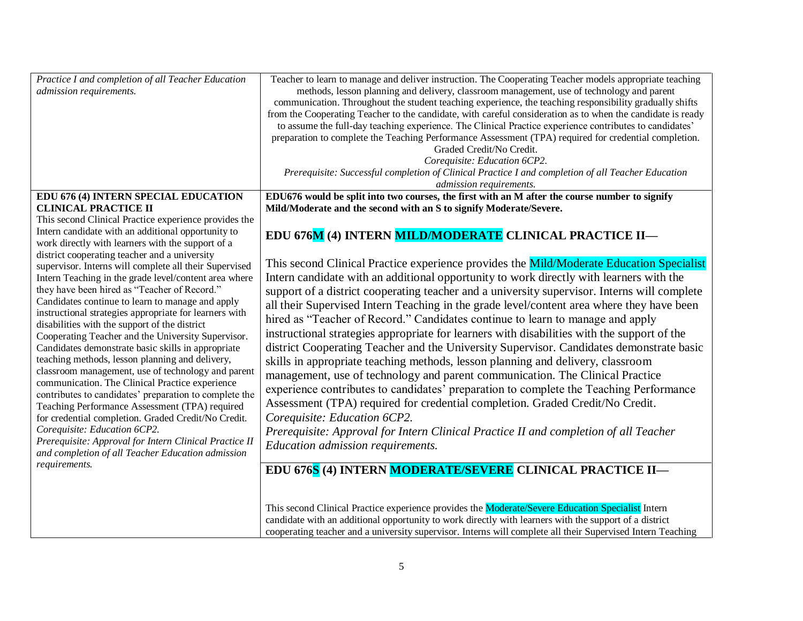| Practice I and completion of all Teacher Education     | Teacher to learn to manage and deliver instruction. The Cooperating Teacher models appropriate teaching     |  |  |
|--------------------------------------------------------|-------------------------------------------------------------------------------------------------------------|--|--|
| admission requirements.                                | methods, lesson planning and delivery, classroom management, use of technology and parent                   |  |  |
|                                                        | communication. Throughout the student teaching experience, the teaching responsibility gradually shifts     |  |  |
|                                                        | from the Cooperating Teacher to the candidate, with careful consideration as to when the candidate is ready |  |  |
|                                                        | to assume the full-day teaching experience. The Clinical Practice experience contributes to candidates'     |  |  |
|                                                        | preparation to complete the Teaching Performance Assessment (TPA) required for credential completion.       |  |  |
|                                                        | Graded Credit/No Credit.                                                                                    |  |  |
|                                                        | Corequisite: Education 6CP2.                                                                                |  |  |
|                                                        | Prerequisite: Successful completion of Clinical Practice I and completion of all Teacher Education          |  |  |
|                                                        | admission requirements.                                                                                     |  |  |
| EDU 676 (4) INTERN SPECIAL EDUCATION                   | EDU676 would be split into two courses, the first with an M after the course number to signify              |  |  |
| <b>CLINICAL PRACTICE II</b>                            | Mild/Moderate and the second with an S to signify Moderate/Severe.                                          |  |  |
| This second Clinical Practice experience provides the  |                                                                                                             |  |  |
| Intern candidate with an additional opportunity to     | EDU 676M (4) INTERN MILD/MODERATE CLINICAL PRACTICE II-                                                     |  |  |
| work directly with learners with the support of a      |                                                                                                             |  |  |
| district cooperating teacher and a university          |                                                                                                             |  |  |
| supervisor. Interns will complete all their Supervised | This second Clinical Practice experience provides the Mild/Moderate Education Specialist                    |  |  |
| Intern Teaching in the grade level/content area where  | Intern candidate with an additional opportunity to work directly with learners with the                     |  |  |
| they have been hired as "Teacher of Record."           | support of a district cooperating teacher and a university supervisor. Interns will complete                |  |  |
| Candidates continue to learn to manage and apply       | all their Supervised Intern Teaching in the grade level/content area where they have been                   |  |  |
| instructional strategies appropriate for learners with | hired as "Teacher of Record." Candidates continue to learn to manage and apply                              |  |  |
| disabilities with the support of the district          |                                                                                                             |  |  |
| Cooperating Teacher and the University Supervisor.     | instructional strategies appropriate for learners with disabilities with the support of the                 |  |  |
| Candidates demonstrate basic skills in appropriate     | district Cooperating Teacher and the University Supervisor. Candidates demonstrate basic                    |  |  |
| teaching methods, lesson planning and delivery,        | skills in appropriate teaching methods, lesson planning and delivery, classroom                             |  |  |
| classroom management, use of technology and parent     | management, use of technology and parent communication. The Clinical Practice                               |  |  |
| communication. The Clinical Practice experience        |                                                                                                             |  |  |
| contributes to candidates' preparation to complete the | experience contributes to candidates' preparation to complete the Teaching Performance                      |  |  |
| Teaching Performance Assessment (TPA) required         | Assessment (TPA) required for credential completion. Graded Credit/No Credit.                               |  |  |
| for credential completion. Graded Credit/No Credit.    | Corequisite: Education 6CP2.                                                                                |  |  |
| Corequisite: Education 6CP2.                           | Prerequisite: Approval for Intern Clinical Practice II and completion of all Teacher                        |  |  |
| Prerequisite: Approval for Intern Clinical Practice II | Education admission requirements.                                                                           |  |  |
| and completion of all Teacher Education admission      |                                                                                                             |  |  |
| requirements.                                          | EDU 676S (4) INTERN MODERATE/SEVERE CLINICAL PRACTICE II-                                                   |  |  |
|                                                        |                                                                                                             |  |  |
|                                                        |                                                                                                             |  |  |
|                                                        |                                                                                                             |  |  |
|                                                        | This second Clinical Practice experience provides the Moderate/Severe Education Specialist Intern           |  |  |
|                                                        | candidate with an additional opportunity to work directly with learners with the support of a district      |  |  |
|                                                        | cooperating teacher and a university supervisor. Interns will complete all their Supervised Intern Teaching |  |  |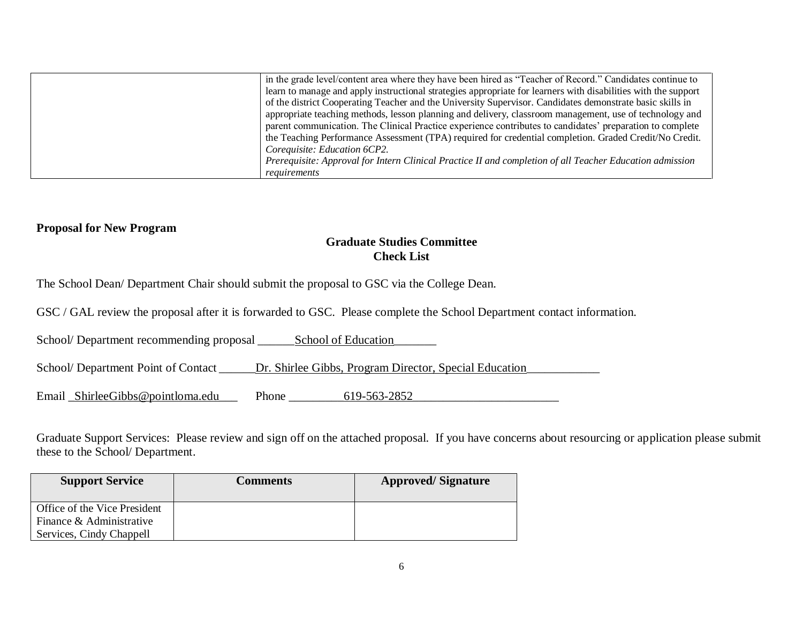| in the grade level/content area where they have been hired as "Teacher of Record." Candidates continue to      |
|----------------------------------------------------------------------------------------------------------------|
| learn to manage and apply instructional strategies appropriate for learners with disabilities with the support |
| of the district Cooperating Teacher and the University Supervisor. Candidates demonstrate basic skills in      |
| appropriate teaching methods, lesson planning and delivery, classroom management, use of technology and        |
| parent communication. The Clinical Practice experience contributes to candidates' preparation to complete      |
| the Teaching Performance Assessment (TPA) required for credential completion. Graded Credit/No Credit.         |
| Coreguisite: Education 6CP2.                                                                                   |
| Prerequisite: Approval for Intern Clinical Practice II and completion of all Teacher Education admission       |
| requirements                                                                                                   |

#### **Proposal for New Program**

#### **Graduate Studies Committee Check List**

The School Dean/ Department Chair should submit the proposal to GSC via the College Dean.

GSC / GAL review the proposal after it is forwarded to GSC. Please complete the School Department contact information.

School/ Department recommending proposal \_\_\_\_\_\_\_\_School of Education

School/ Department Point of Contact \_\_\_\_\_\_Dr. Shirlee Gibbs, Program Director, Special Education\_\_\_\_\_\_\_\_\_\_\_\_\_\_

Email \_ShirleeGibbs@pointloma.edu\_\_\_ Phone \_\_\_\_\_\_\_\_\_619-563-2852\_\_\_\_\_\_\_\_\_\_\_\_\_\_\_\_\_\_\_\_\_\_\_\_

Graduate Support Services: Please review and sign off on the attached proposal. If you have concerns about resourcing or application please submit these to the School/ Department.

| <b>Support Service</b>       | <b>Comments</b> | <b>Approved/Signature</b> |
|------------------------------|-----------------|---------------------------|
| Office of the Vice President |                 |                           |
| Finance & Administrative     |                 |                           |
| Services, Cindy Chappell     |                 |                           |